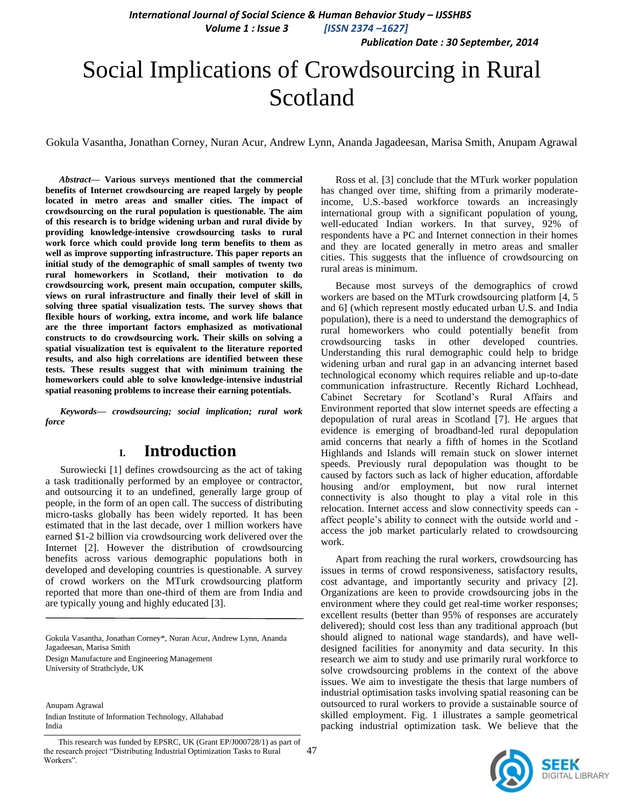*International Journal of Social Science & Human Behavior Study – IJSSHBS*

 *Volume 1 : Issue 3 [ISSN 2374 –1627]*

 *Publication Date : 30 September, 2014*

# Social Implications of Crowdsourcing in Rural Scotland

Gokula Vasantha, Jonathan Corney, Nuran Acur, Andrew Lynn, Ananda Jagadeesan, Marisa Smith, Anupam Agrawal

*Abstract***— Various surveys mentioned that the commercial benefits of Internet crowdsourcing are reaped largely by people located in metro areas and smaller cities. The impact of crowdsourcing on the rural population is questionable. The aim of this research is to bridge widening urban and rural divide by providing knowledge-intensive crowdsourcing tasks to rural work force which could provide long term benefits to them as well as improve supporting infrastructure. This paper reports an initial study of the demographic of small samples of twenty two rural homeworkers in Scotland, their motivation to do crowdsourcing work, present main occupation, computer skills, views on rural infrastructure and finally their level of skill in solving three spatial visualization tests. The survey shows that flexible hours of working, extra income, and work life balance are the three important factors emphasized as motivational constructs to do crowdsourcing work. Their skills on solving a spatial visualization test is equivalent to the literature reported results, and also high correlations are identified between these tests. These results suggest that with minimum training the homeworkers could able to solve knowledge-intensive industrial spatial reasoning problems to increase their earning potentials.**

*Keywords— crowdsourcing; social implication; rural work force* 

# **I. Introduction**

Surowiecki [1] defines crowdsourcing as the act of taking a task traditionally performed by an employee or contractor, and outsourcing it to an undefined, generally large group of people, in the form of an open call. The success of distributing micro-tasks globally has been widely reported. It has been estimated that in the last decade, over 1 million workers have earned \$1-2 billion via crowdsourcing work delivered over the Internet [2]. However the distribution of crowdsourcing benefits across various demographic populations both in developed and developing countries is questionable. A survey of crowd workers on the MTurk crowdsourcing platform reported that more than one-third of them are from India and are typically young and highly educated [3].

Gokula Vasantha, Jonathan Corney\*, Nuran Acur, Andrew Lynn, Ananda Jagadeesan, Marisa Smith

Design Manufacture and Engineering Management University of Strathclyde, UK

Anupam Agrawal Indian Institute of Information Technology, Allahabad India

Ross et al. [3] conclude that the MTurk worker population has changed over time, shifting from a primarily moderateincome, U.S.-based workforce towards an increasingly international group with a significant population of young, well-educated Indian workers. In that survey, 92% of respondents have a PC and Internet connection in their homes and they are located generally in metro areas and smaller cities. This suggests that the influence of crowdsourcing on rural areas is minimum.

Because most surveys of the demographics of crowd workers are based on the MTurk crowdsourcing platform [4, 5 and 6] (which represent mostly educated urban U.S. and India population), there is a need to understand the demographics of rural homeworkers who could potentially benefit from crowdsourcing tasks in other developed countries. Understanding this rural demographic could help to bridge widening urban and rural gap in an advancing internet based technological economy which requires reliable and up-to-date communication infrastructure. Recently Richard Lochhead, Cabinet Secretary for Scotland"s Rural Affairs and Environment reported that slow internet speeds are effecting a depopulation of rural areas in Scotland [7]. He argues that evidence is emerging of broadband-led rural depopulation amid concerns that nearly a fifth of homes in the Scotland Highlands and Islands will remain stuck on slower internet speeds. Previously rural depopulation was thought to be caused by factors such as lack of higher education, affordable housing and/or employment, but now rural internet connectivity is also thought to play a vital role in this relocation. Internet access and slow connectivity speeds can affect people"s ability to connect with the outside world and access the job market particularly related to crowdsourcing work.

Apart from reaching the rural workers, crowdsourcing has issues in terms of crowd responsiveness, satisfactory results, cost advantage, and importantly security and privacy [2]. Organizations are keen to provide crowdsourcing jobs in the environment where they could get real-time worker responses; excellent results (better than 95% of responses are accurately delivered); should cost less than any traditional approach (but should aligned to national wage standards), and have welldesigned facilities for anonymity and data security. In this research we aim to study and use primarily rural workforce to solve crowdsourcing problems in the context of the above issues. We aim to investigate the thesis that large numbers of industrial optimisation tasks involving spatial reasoning can be outsourced to rural workers to provide a sustainable source of skilled employment. Fig. 1 illustrates a sample geometrical packing industrial optimization task. We believe that the



This research was funded by EPSRC, UK (Grant EP/J000728/1) as part of the research project "Distributing Industrial Optimization Tasks to Rural Workers".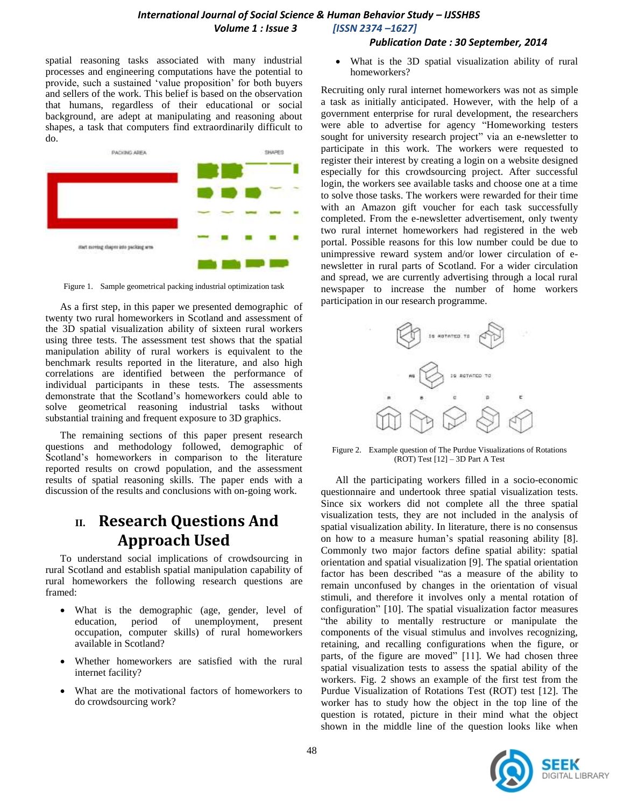#### *International Journal of Social Science & Human Behavior Study – IJSSHBS Volume 1 : Issue 3 [ISSN 2374 –1627]*

#### *Publication Date : 30 September, 2014*

spatial reasoning tasks associated with many industrial processes and engineering computations have the potential to provide, such a sustained "value proposition" for both buyers and sellers of the work. This belief is based on the observation that humans, regardless of their educational or social background, are adept at manipulating and reasoning about shapes, a task that computers find extraordinarily difficult to do.



Figure 1. Sample geometrical packing industrial optimization task

As a first step, in this paper we presented demographic of twenty two rural homeworkers in Scotland and assessment of the 3D spatial visualization ability of sixteen rural workers using three tests. The assessment test shows that the spatial manipulation ability of rural workers is equivalent to the benchmark results reported in the literature, and also high correlations are identified between the performance of individual participants in these tests. The assessments demonstrate that the Scotland"s homeworkers could able to solve geometrical reasoning industrial tasks without substantial training and frequent exposure to 3D graphics.

The remaining sections of this paper present research questions and methodology followed, demographic of Scotland"s homeworkers in comparison to the literature reported results on crowd population, and the assessment results of spatial reasoning skills. The paper ends with a discussion of the results and conclusions with on-going work.

# **II. Research Questions And Approach Used**

To understand social implications of crowdsourcing in rural Scotland and establish spatial manipulation capability of rural homeworkers the following research questions are framed:

- What is the demographic (age, gender, level of education, period of unemployment, present occupation, computer skills) of rural homeworkers available in Scotland?
- Whether homeworkers are satisfied with the rural internet facility?
- What are the motivational factors of homeworkers to do crowdsourcing work?

 What is the 3D spatial visualization ability of rural homeworkers?

Recruiting only rural internet homeworkers was not as simple a task as initially anticipated. However, with the help of a government enterprise for rural development, the researchers were able to advertise for agency "Homeworking testers sought for university research project" via an e-newsletter to participate in this work. The workers were requested to register their interest by creating a login on a website designed especially for this crowdsourcing project. After successful login, the workers see available tasks and choose one at a time to solve those tasks. The workers were rewarded for their time with an Amazon gift voucher for each task successfully completed. From the e-newsletter advertisement, only twenty two rural internet homeworkers had registered in the web portal. Possible reasons for this low number could be due to unimpressive reward system and/or lower circulation of enewsletter in rural parts of Scotland. For a wider circulation and spread, we are currently advertising through a local rural newspaper to increase the number of home workers participation in our research programme.



Figure 2. Example question of The Purdue Visualizations of Rotations (ROT) Test [12] – 3D Part A Test

All the participating workers filled in a socio-economic questionnaire and undertook three spatial visualization tests. Since six workers did not complete all the three spatial visualization tests, they are not included in the analysis of spatial visualization ability. In literature, there is no consensus on how to a measure human"s spatial reasoning ability [8]. Commonly two major factors define spatial ability: spatial orientation and spatial visualization [9]. The spatial orientation factor has been described "as a measure of the ability to remain unconfused by changes in the orientation of visual stimuli, and therefore it involves only a mental rotation of configuration" [10]. The spatial visualization factor measures "the ability to mentally restructure or manipulate the components of the visual stimulus and involves recognizing, retaining, and recalling configurations when the figure, or parts, of the figure are moved" [11]. We had chosen three spatial visualization tests to assess the spatial ability of the workers. Fig. 2 shows an example of the first test from the Purdue Visualization of Rotations Test (ROT) test [12]. The worker has to study how the object in the top line of the question is rotated, picture in their mind what the object shown in the middle line of the question looks like when

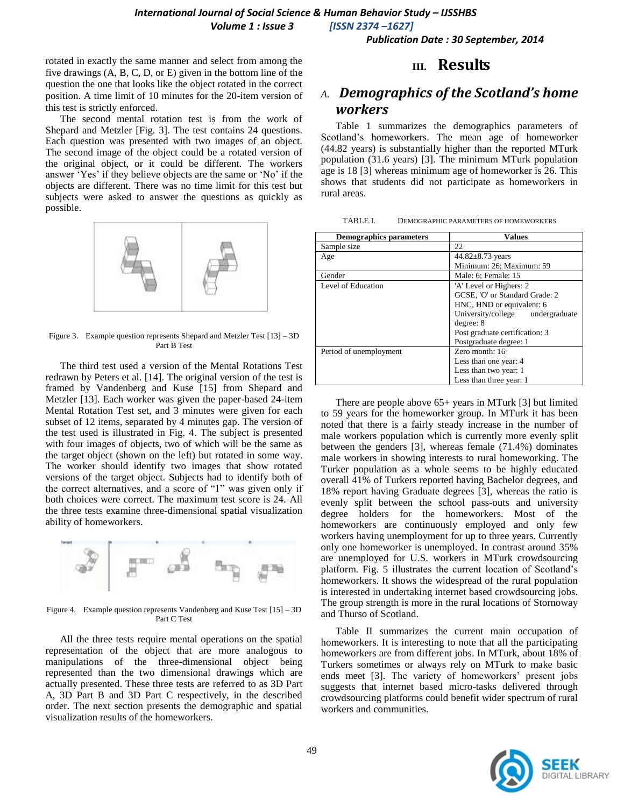*International Journal of Social Science & Human Behavior Study – IJSSHBS Volume 1 : Issue 3 [ISSN 2374 –1627]*

 *Publication Date : 30 September, 2014*

rotated in exactly the same manner and select from among the five drawings (A, B, C, D, or E) given in the bottom line of the question the one that looks like the object rotated in the correct position. A time limit of 10 minutes for the 20-item version of this test is strictly enforced.

The second mental rotation test is from the work of Shepard and Metzler [Fig. 3]. The test contains 24 questions. Each question was presented with two images of an object. The second image of the object could be a rotated version of the original object, or it could be different. The workers answer "Yes" if they believe objects are the same or "No" if the objects are different. There was no time limit for this test but subjects were asked to answer the questions as quickly as possible.



Figure 3. Example question represents Shepard and Metzler Test [13] – 3D Part B Test

The third test used a version of the Mental Rotations Test redrawn by Peters et al. [14]. The original version of the test is framed by Vandenberg and Kuse [15] from Shepard and Metzler [13]. Each worker was given the paper-based 24-item Mental Rotation Test set, and 3 minutes were given for each subset of 12 items, separated by 4 minutes gap. The version of the test used is illustrated in Fig. 4. The subject is presented with four images of objects, two of which will be the same as the target object (shown on the left) but rotated in some way. The worker should identify two images that show rotated versions of the target object. Subjects had to identify both of the correct alternatives, and a score of "1" was given only if both choices were correct. The maximum test score is 24. All the three tests examine three-dimensional spatial visualization ability of homeworkers.



Figure 4. Example question represents Vandenberg and Kuse Test [15] – 3D Part C Test

All the three tests require mental operations on the spatial representation of the object that are more analogous to manipulations of the three-dimensional object being represented than the two dimensional drawings which are actually presented. These three tests are referred to as 3D Part A, 3D Part B and 3D Part C respectively, in the described order. The next section presents the demographic and spatial visualization results of the homeworkers.

### **III. Results**

# *A. Demographics of the Scotland's home workers*

Table 1 summarizes the demographics parameters of Scotland"s homeworkers. The mean age of homeworker (44.82 years) is substantially higher than the reported MTurk population (31.6 years) [3]. The minimum MTurk population age is 18 [3] whereas minimum age of homeworker is 26. This shows that students did not participate as homeworkers in rural areas.

| TABLE I. | DEMOGRAPHIC PARAMETERS OF HOMEWORKERS |  |
|----------|---------------------------------------|--|
|          |                                       |  |

| <b>Demographics parameters</b> | <b>Values</b>                    |  |
|--------------------------------|----------------------------------|--|
| Sample size                    | 22                               |  |
| Age                            | $44.82 \pm 8.73$ years           |  |
|                                | Minimum: 26; Maximum: 59         |  |
| Gender                         | Male: 6; Female: 15              |  |
| Level of Education             | 'A' Level or Highers: 2          |  |
|                                | GCSE, 'O' or Standard Grade: 2   |  |
|                                | HNC, HND or equivalent: 6        |  |
|                                | University/college undergraduate |  |
|                                | degree: 8                        |  |
|                                | Post graduate certification: 3   |  |
|                                | Postgraduate degree: 1           |  |
| Period of unemployment         | Zero month: 16                   |  |
|                                | Less than one year: 4            |  |
|                                | Less than two year: 1            |  |
|                                | Less than three year: 1          |  |

There are people above 65+ years in MTurk [3] but limited to 59 years for the homeworker group. In MTurk it has been noted that there is a fairly steady increase in the number of male workers population which is currently more evenly split between the genders [3], whereas female (71.4%) dominates male workers in showing interests to rural homeworking. The Turker population as a whole seems to be highly educated overall 41% of Turkers reported having Bachelor degrees, and 18% report having Graduate degrees [3], whereas the ratio is evenly split between the school pass-outs and university degree holders for the homeworkers. Most of the homeworkers are continuously employed and only few workers having unemployment for up to three years. Currently only one homeworker is unemployed. In contrast around 35% are unemployed for U.S. workers in MTurk crowdsourcing platform. Fig. 5 illustrates the current location of Scotland"s homeworkers. It shows the widespread of the rural population is interested in undertaking internet based crowdsourcing jobs. The group strength is more in the rural locations of Stornoway and Thurso of Scotland.

Table II summarizes the current main occupation of homeworkers. It is interesting to note that all the participating homeworkers are from different jobs. In MTurk, about 18% of Turkers sometimes or always rely on MTurk to make basic ends meet [3]. The variety of homeworkers' present jobs suggests that internet based micro-tasks delivered through crowdsourcing platforms could benefit wider spectrum of rural workers and communities.

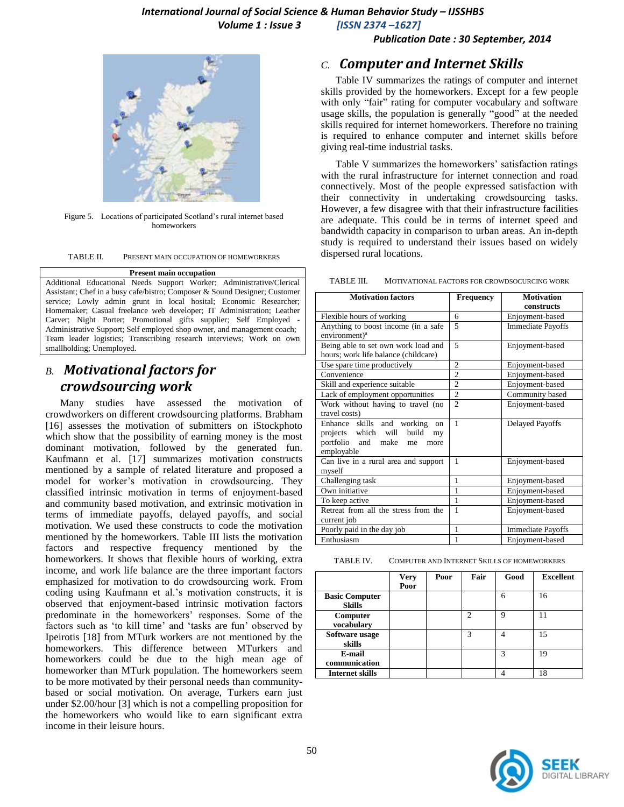*Publication Date : 30 September, 2014*



Figure 5. Locations of participated Scotland"s rural internet based homeworkers

TABLE II. PRESENT MAIN OCCUPATION OF HOMEWORKERS

#### **Present main occupation**

Additional Educational Needs Support Worker; Administrative/Clerical Assistant; Chef in a busy cafe/bistro; Composer & Sound Designer; Customer service; Lowly admin grunt in local hosital; Economic Researcher; Homemaker; Casual freelance web developer; IT Administration; Leather Carver; Night Porter; Promotional gifts supplier; Self Employed - Administrative Support; Self employed shop owner, and management coach; Team leader logistics; Transcribing research interviews; Work on own smallholding; Unemployed.

## *B. Motivational factors for crowdsourcing work*

Many studies have assessed the motivation of crowdworkers on different crowdsourcing platforms. Brabham [16] assesses the motivation of submitters on iStockphoto which show that the possibility of earning money is the most dominant motivation, followed by the generated fun. Kaufmann et al. [17] summarizes motivation constructs mentioned by a sample of related literature and proposed a model for worker"s motivation in crowdsourcing. They classified intrinsic motivation in terms of enjoyment-based and community based motivation, and extrinsic motivation in terms of immediate payoffs, delayed payoffs, and social motivation. We used these constructs to code the motivation mentioned by the homeworkers. Table III lists the motivation factors and respective frequency mentioned by the homeworkers. It shows that flexible hours of working, extra income, and work life balance are the three important factors emphasized for motivation to do crowdsourcing work. From coding using Kaufmann et al.'s motivation constructs, it is observed that enjoyment-based intrinsic motivation factors predominate in the homeworkers' responses. Some of the factors such as 'to kill time' and 'tasks are fun' observed by Ipeirotis [18] from MTurk workers are not mentioned by the homeworkers. This difference between MTurkers and homeworkers could be due to the high mean age of homeworker than MTurk population. The homeworkers seem to be more motivated by their personal needs than communitybased or social motivation. On average, Turkers earn just under \$2.00/hour [3] which is not a compelling proposition for the homeworkers who would like to earn significant extra income in their leisure hours.

#### *C. Computer and Internet Skills*

Table IV summarizes the ratings of computer and internet skills provided by the homeworkers. Except for a few people with only "fair" rating for computer vocabulary and software usage skills, the population is generally "good" at the needed skills required for internet homeworkers. Therefore no training is required to enhance computer and internet skills before giving real-time industrial tasks.

Table V summarizes the homeworkers' satisfaction ratings with the rural infrastructure for internet connection and road connectively. Most of the people expressed satisfaction with their connectivity in undertaking crowdsourcing tasks. However, a few disagree with that their infrastructure facilities are adequate. This could be in terms of internet speed and bandwidth capacity in comparison to urban areas. An in-depth study is required to understand their issues based on widely dispersed rural locations.

TABLE III. MOTIVATIONAL FACTORS FOR CROWDSOCURCING WORK

| <b>Motivation factors</b>            | Frequency      | <b>Motivation</b>        |
|--------------------------------------|----------------|--------------------------|
|                                      |                | constructs               |
| Flexible hours of working            | 6              | Enjoyment-based          |
| Anything to boost income (in a safe  | $\overline{5}$ | <b>Immediate Payoffs</b> |
| environment) <sup>a</sup>            |                |                          |
| Being able to set own work load and  | 5              | Enjoyment-based          |
| hours; work life balance (childcare) |                |                          |
| Use spare time productively          | $\overline{2}$ | Enjoyment-based          |
| Convenience                          | $\overline{2}$ | Enjoyment-based          |
| Skill and experience suitable        | $\overline{2}$ | Enjoyment-based          |
| Lack of employment opportunities     | $\overline{c}$ | Community based          |
| Work without having to travel (no    | $\mathfrak{D}$ | Enjoyment-based          |
| travel costs)                        |                |                          |
| Enhance skills and working<br>on     | $\mathbf{1}$   | Delayed Payoffs          |
| projects which will<br>build<br>my   |                |                          |
| portfolio and make<br>me<br>more     |                |                          |
| employable                           |                |                          |
| Can live in a rural area and support | 1              | Enjoyment-based          |
| myself                               |                |                          |
| Challenging task                     | 1              | Enjoyment-based          |
| Own initiative                       | 1              | Enjoyment-based          |
| To keep active                       | 1              | Enjoyment-based          |
| Retreat from all the stress from the | 1              | Enjoyment-based          |
| current job                          |                |                          |
| Poorly paid in the day job           | 1              | <b>Immediate Payoffs</b> |
| Enthusiasm                           | 1              | Enjoyment-based          |

TABLE IV. COMPUTER AND INTERNET SKILLS OF HOMEWORKERS

|                                        | <b>Very</b><br>Poor | Poor | Fair | Good | <b>Excellent</b> |
|----------------------------------------|---------------------|------|------|------|------------------|
| <b>Basic Computer</b><br><b>Skills</b> |                     |      |      | 6    | 16               |
| Computer<br>vocabulary                 |                     |      | ↑    | 9    |                  |
| Software usage<br>skills               |                     |      | 3    |      | 15               |
| E-mail<br>communication                |                     |      |      | 3    | 19               |
| <b>Internet skills</b>                 |                     |      |      |      | 18               |

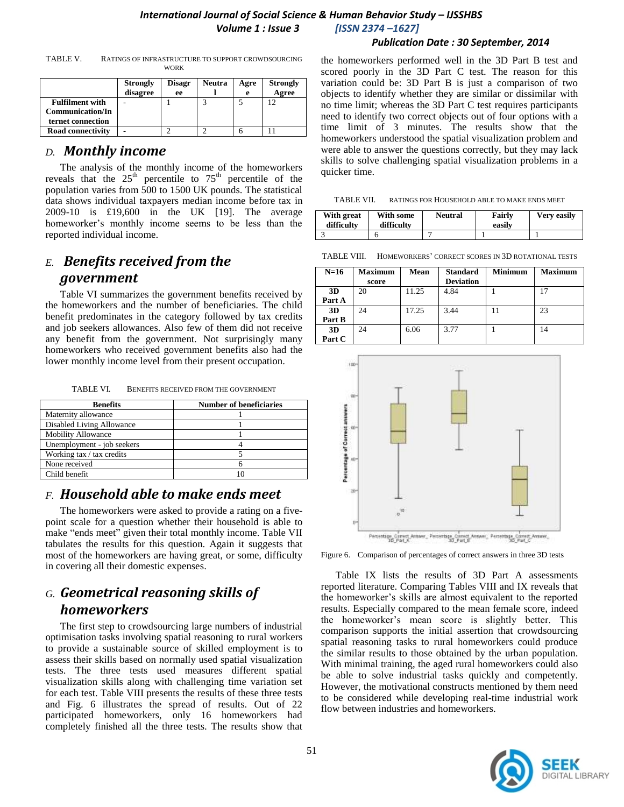#### *Publication Date : 30 September, 2014*

| TABLE V. | RATINGS OF INFRASTRUCTURE TO SUPPORT CROWDSOURCING |
|----------|----------------------------------------------------|
|          | <b>WORK</b>                                        |

|                                                                        | <b>Strongly</b><br>disagree | <b>Disagr</b><br>ee | <b>Neutra</b> | Agre<br>e | <b>Strongly</b><br>Agree |
|------------------------------------------------------------------------|-----------------------------|---------------------|---------------|-----------|--------------------------|
| <b>Fulfilment with</b><br><b>Communication/In</b><br>ternet connection |                             |                     |               |           | 12                       |
| <b>Road connectivity</b>                                               |                             |                     |               |           |                          |

### *D. Monthly income*

The analysis of the monthly income of the homeworkers reveals that the  $25<sup>th</sup>$  percentile to  $75<sup>th</sup>$  percentile of the population varies from 500 to 1500 UK pounds. The statistical data shows individual taxpayers median income before tax in 2009-10 is £19,600 in the UK [19]. The average homeworker's monthly income seems to be less than the reported individual income.

# *E. Benefits received from the government*

Table VI summarizes the government benefits received by the homeworkers and the number of beneficiaries. The child benefit predominates in the category followed by tax credits and job seekers allowances. Also few of them did not receive any benefit from the government. Not surprisingly many homeworkers who received government benefits also had the lower monthly income level from their present occupation.

TABLE VI. BENEFITS RECEIVED FROM THE GOVERNMENT

| <b>Benefits</b>            | <b>Number of beneficiaries</b> |
|----------------------------|--------------------------------|
| Maternity allowance        |                                |
| Disabled Living Allowance  |                                |
| <b>Mobility Allowance</b>  |                                |
| Unemployment - job seekers |                                |
| Working tax / tax credits  |                                |
| None received              |                                |
| Child benefit              |                                |

### *F. Household able to make ends meet*

The homeworkers were asked to provide a rating on a fivepoint scale for a question whether their household is able to make "ends meet" given their total monthly income. Table VII tabulates the results for this question. Again it suggests that most of the homeworkers are having great, or some, difficulty in covering all their domestic expenses.

# *G. Geometrical reasoning skills of homeworkers*

The first step to crowdsourcing large numbers of industrial optimisation tasks involving spatial reasoning to rural workers to provide a sustainable source of skilled employment is to assess their skills based on normally used spatial visualization tests. The three tests used measures different spatial visualization skills along with challenging time variation set for each test. Table VIII presents the results of these three tests and Fig. 6 illustrates the spread of results. Out of 22 participated homeworkers, only 16 homeworkers had completely finished all the three tests. The results show that the homeworkers performed well in the 3D Part B test and scored poorly in the 3D Part C test. The reason for this variation could be: 3D Part B is just a comparison of two objects to identify whether they are similar or dissimilar with no time limit; whereas the 3D Part C test requires participants need to identify two correct objects out of four options with a time limit of 3 minutes. The results show that the homeworkers understood the spatial visualization problem and were able to answer the questions correctly, but they may lack skills to solve challenging spatial visualization problems in a quicker time.

TABLE VII. RATINGS FOR HOUSEHOLD ABLE TO MAKE ENDS MEET

| With great<br>difficulty | With some<br>difficulty | <b>Neutral</b> | Fairly<br>easily | <b>Very easily</b> |
|--------------------------|-------------------------|----------------|------------------|--------------------|
|                          |                         |                |                  |                    |

TABLE VIII. HOMEWORKERS" CORRECT SCORES IN 3D ROTATIONAL TESTS

| $N=16$ | <b>Maximum</b> | Mean  | <b>Standard</b>  | <b>Minimum</b> | <b>Maximum</b> |
|--------|----------------|-------|------------------|----------------|----------------|
|        | score          |       | <b>Deviation</b> |                |                |
| 3D     | 20             | 11.25 | 4.84             |                | 17             |
| Part A |                |       |                  |                |                |
| 3D     | 24             | 17.25 | 3.44             | 11             | 23             |
| Part B |                |       |                  |                |                |
| 3D     | 24             | 6.06  | 3.77             |                | 14             |
| Part C |                |       |                  |                |                |



Figure 6. Comparison of percentages of correct answers in three 3D tests

Table IX lists the results of 3D Part A assessments reported literature. Comparing Tables VIII and IX reveals that the homeworker"s skills are almost equivalent to the reported results. Especially compared to the mean female score, indeed the homeworker"s mean score is slightly better. This comparison supports the initial assertion that crowdsourcing spatial reasoning tasks to rural homeworkers could produce the similar results to those obtained by the urban population. With minimal training, the aged rural homeworkers could also be able to solve industrial tasks quickly and competently. However, the motivational constructs mentioned by them need to be considered while developing real-time industrial work flow between industries and homeworkers.